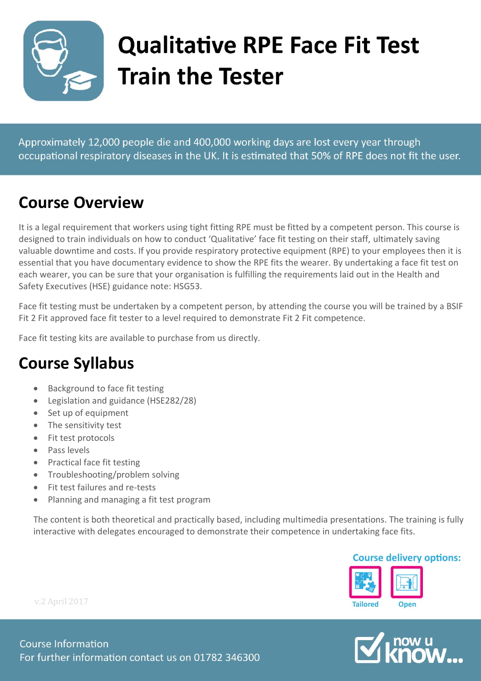

# **Qualitative RPE Face Fit Test Train the Tester**

Approximately 12,000 people die and 400,000 working days are lost every year through occupational respiratory diseases in the UK. It is estimated that 50% of RPE does not fit the user.

### **Course Overview**

It is a legal requirement that workers using tight fitting RPE must be fitted by a competent person. This course is designed to train individuals on how to conduct 'Qualitative' face fit testing on their staff, ultimately saving valuable downtime and costs. If you provide respiratory protective equipment (RPE) to your employees then it is essential that you have documentary evidence to show the RPE fits the wearer. By undertaking a face fit test on each wearer, you can be sure that your organisation is fulfilling the requirements laid out in the Health and Safety Executives (HSE) guidance note: HSG53.

Face fit testing must be undertaken by a competent person, by attending the course you will be trained by a BSIF Fit 2 Fit approved face fit tester to a level required to demonstrate Fit 2 Fit competence.

Face fit testing kits are available to purchase from us directly.

### **Course Syllabus**

- Background to face fit testing
- Legislation and guidance (HSE282/28)
- Set up of equipment
- The sensitivity test
- Fit test protocols
- Pass levels
- Practical face fit testing
- Troubleshooting/problem solving
- Fit test failures and re-tests
- Planning and managing a fit test program

The content is both theoretical and practically based, including multimedia presentations. The training is fully interactive with delegates encouraged to demonstrate their competence in undertaking face fits.

#### **Course delivery options:**





v.2 April 2017